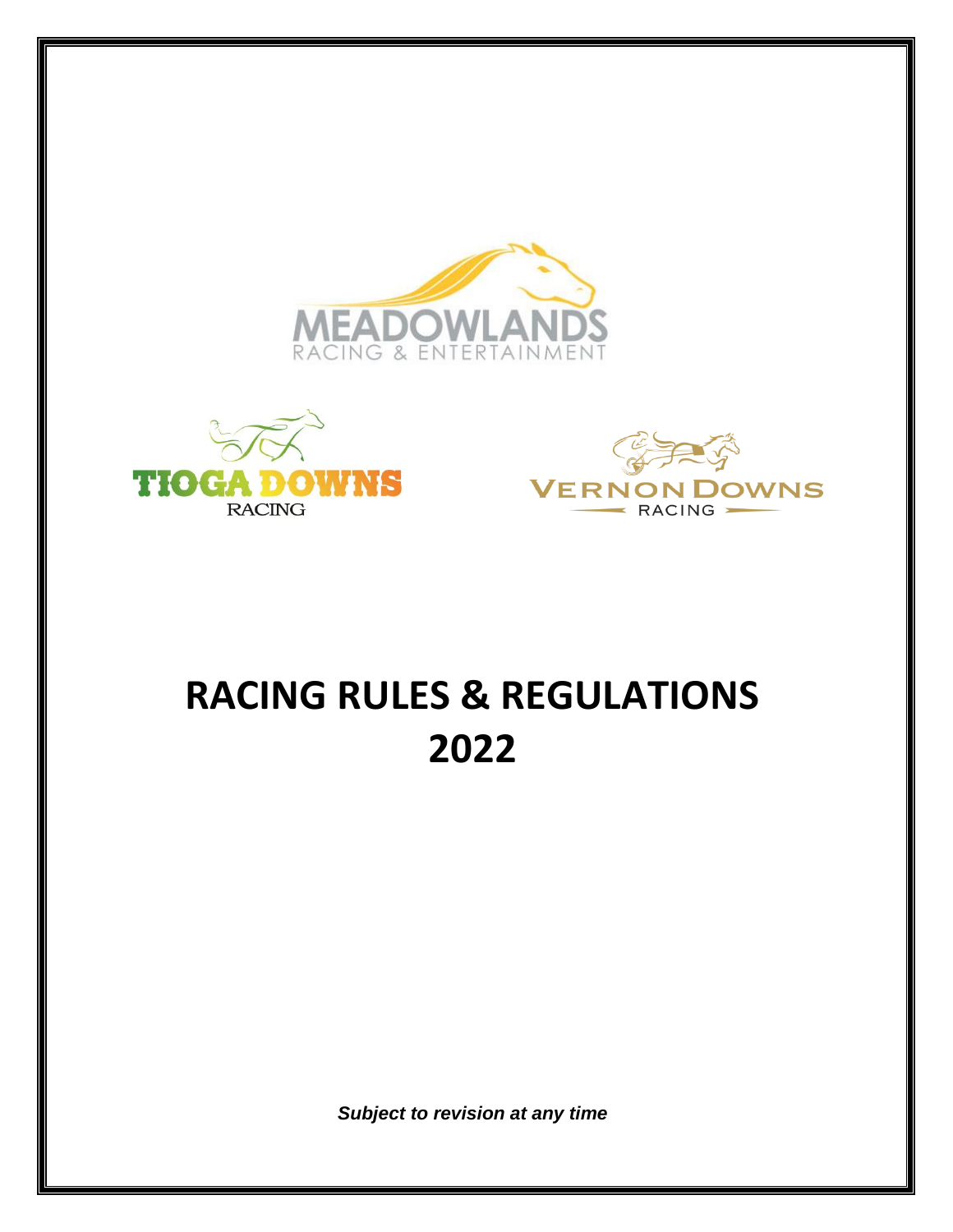





# **RACING RULES & REGULATIONS 2022**

*Subject to revision at any time*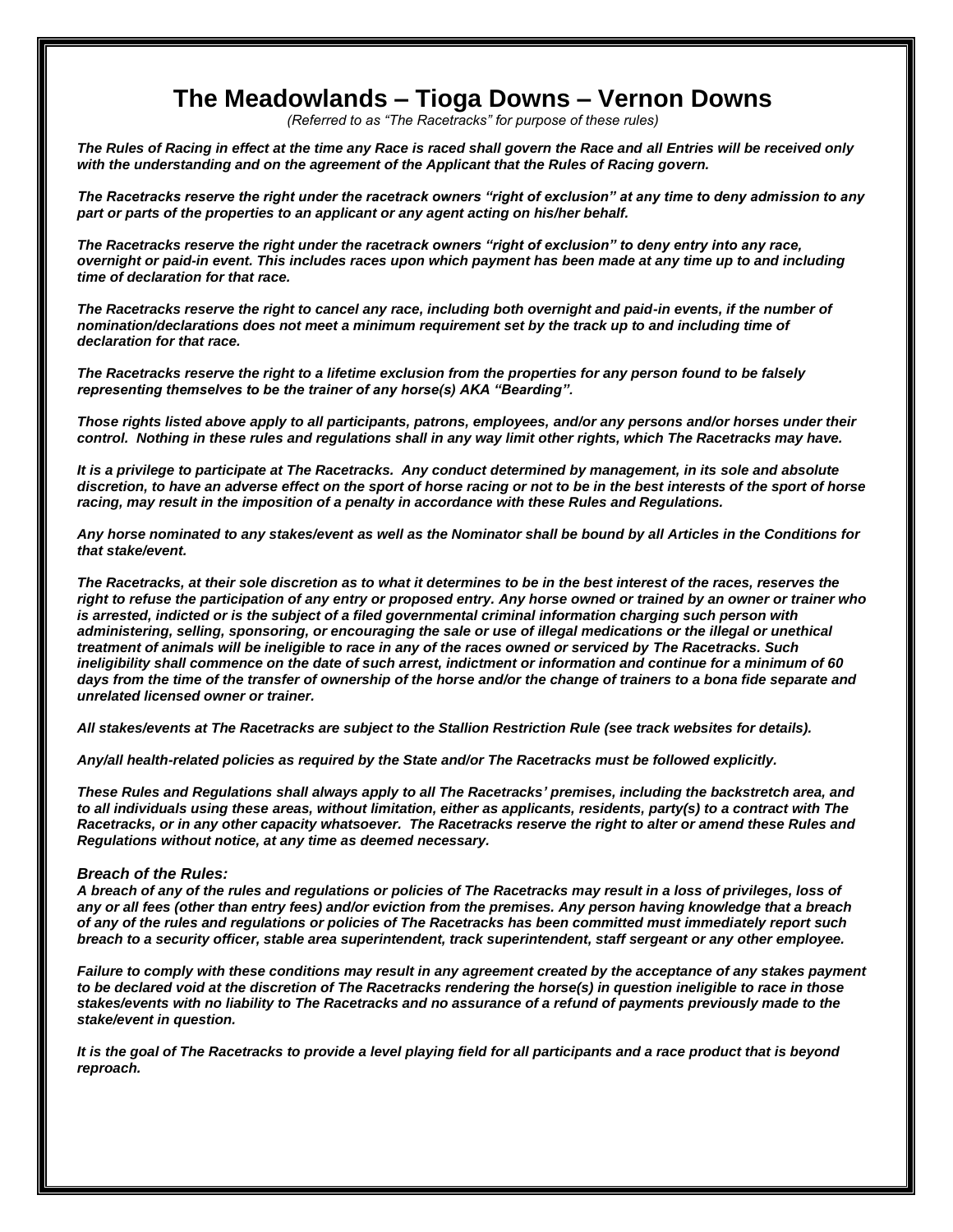# **The Meadowlands – Tioga Downs – Vernon Downs**

*(Referred to as "The Racetracks" for purpose of these rules)*

*The Rules of Racing in effect at the time any Race is raced shall govern the Race and all Entries will be received only with the understanding and on the agreement of the Applicant that the Rules of Racing govern.*

*The Racetracks reserve the right under the racetrack owners "right of exclusion" at any time to deny admission to any part or parts of the properties to an applicant or any agent acting on his/her behalf.*

*The Racetracks reserve the right under the racetrack owners "right of exclusion" to deny entry into any race, overnight or paid-in event. This includes races upon which payment has been made at any time up to and including time of declaration for that race.*

*The Racetracks reserve the right to cancel any race, including both overnight and paid-in events, if the number of nomination/declarations does not meet a minimum requirement set by the track up to and including time of declaration for that race.*

*The Racetracks reserve the right to a lifetime exclusion from the properties for any person found to be falsely representing themselves to be the trainer of any horse(s) AKA "Bearding".*

*Those rights listed above apply to all participants, patrons, employees, and/or any persons and/or horses under their control. Nothing in these rules and regulations shall in any way limit other rights, which The Racetracks may have.*

*It is a privilege to participate at The Racetracks. Any conduct determined by management, in its sole and absolute discretion, to have an adverse effect on the sport of horse racing or not to be in the best interests of the sport of horse racing, may result in the imposition of a penalty in accordance with these Rules and Regulations.*

*Any horse nominated to any stakes/event as well as the Nominator shall be bound by all Articles in the Conditions for that stake/event.*

*The Racetracks, at their sole discretion as to what it determines to be in the best interest of the races, reserves the right to refuse the participation of any entry or proposed entry. Any horse owned or trained by an owner or trainer who is arrested, indicted or is the subject of a filed governmental criminal information charging such person with administering, selling, sponsoring, or encouraging the sale or use of illegal medications or the illegal or unethical treatment of animals will be ineligible to race in any of the races owned or serviced by The Racetracks. Such ineligibility shall commence on the date of such arrest, indictment or information and continue for a minimum of 60 days from the time of the transfer of ownership of the horse and/or the change of trainers to a bona fide separate and unrelated licensed owner or trainer.* 

*All stakes/events at The Racetracks are subject to the Stallion Restriction Rule (see track websites for details).*

*Any/all health-related policies as required by the State and/or The Racetracks must be followed explicitly.*

*These Rules and Regulations shall always apply to all The Racetracks' premises, including the backstretch area, and to all individuals using these areas, without limitation, either as applicants, residents, party(s) to a contract with The Racetracks, or in any other capacity whatsoever. The Racetracks reserve the right to alter or amend these Rules and Regulations without notice, at any time as deemed necessary.*

#### *Breach of the Rules:*

*A breach of any of the rules and regulations or policies of The Racetracks may result in a loss of privileges, loss of any or all fees (other than entry fees) and/or eviction from the premises. Any person having knowledge that a breach of any of the rules and regulations or policies of The Racetracks has been committed must immediately report such breach to a security officer, stable area superintendent, track superintendent, staff sergeant or any other employee.*

*Failure to comply with these conditions may result in any agreement created by the acceptance of any stakes payment to be declared void at the discretion of The Racetracks rendering the horse(s) in question ineligible to race in those stakes/events with no liability to The Racetracks and no assurance of a refund of payments previously made to the stake/event in question.*

*It is the goal of The Racetracks to provide a level playing field for all participants and a race product that is beyond reproach.*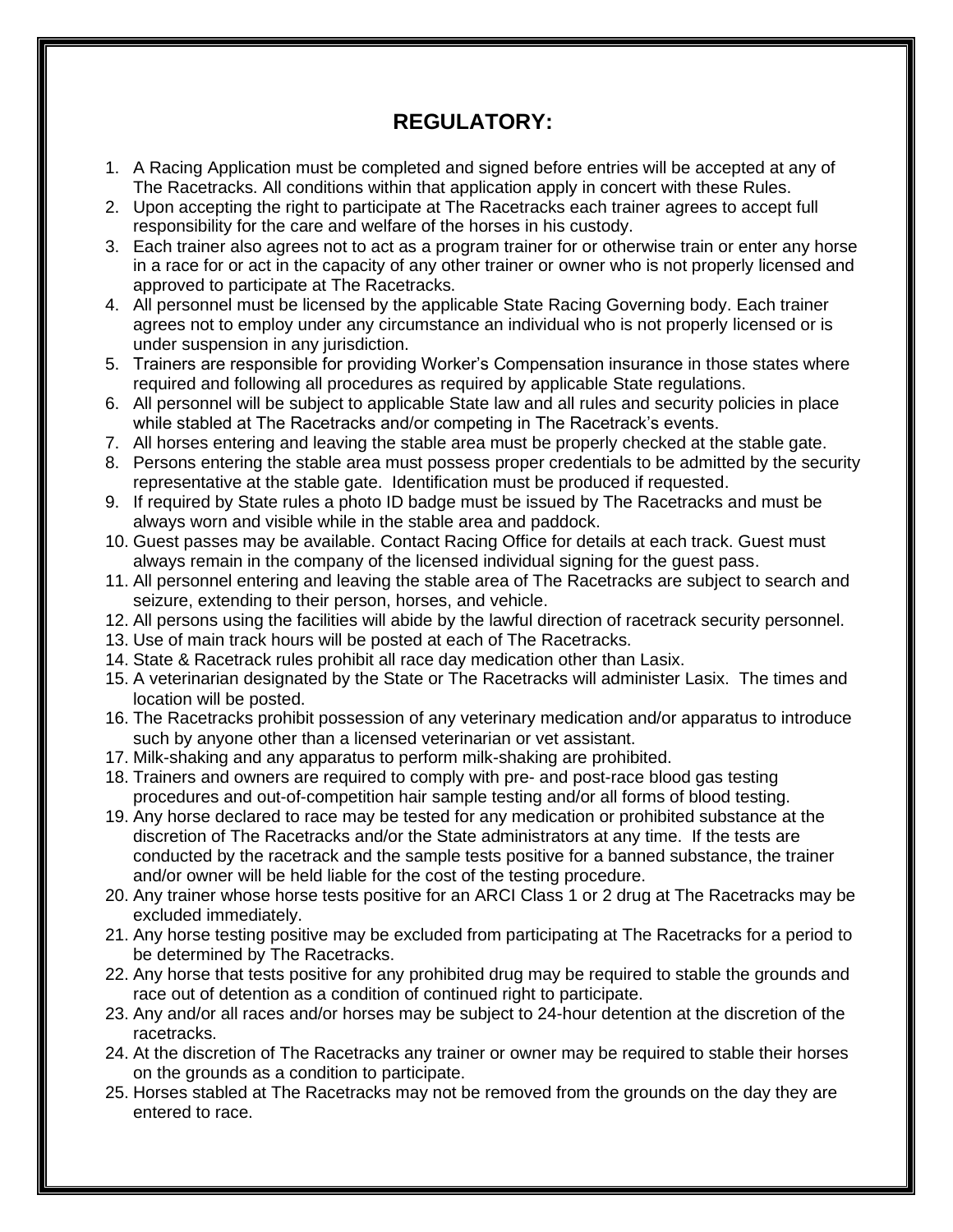# **REGULATORY:**

- 1. A Racing Application must be completed and signed before entries will be accepted at any of The Racetracks. All conditions within that application apply in concert with these Rules.
- 2. Upon accepting the right to participate at The Racetracks each trainer agrees to accept full responsibility for the care and welfare of the horses in his custody.
- 3. Each trainer also agrees not to act as a program trainer for or otherwise train or enter any horse in a race for or act in the capacity of any other trainer or owner who is not properly licensed and approved to participate at The Racetracks.
- 4. All personnel must be licensed by the applicable State Racing Governing body. Each trainer agrees not to employ under any circumstance an individual who is not properly licensed or is under suspension in any jurisdiction.
- 5. Trainers are responsible for providing Worker's Compensation insurance in those states where required and following all procedures as required by applicable State regulations.
- 6. All personnel will be subject to applicable State law and all rules and security policies in place while stabled at The Racetracks and/or competing in The Racetrack's events.
- 7. All horses entering and leaving the stable area must be properly checked at the stable gate.
- 8. Persons entering the stable area must possess proper credentials to be admitted by the security representative at the stable gate. Identification must be produced if requested.
- 9. If required by State rules a photo ID badge must be issued by The Racetracks and must be always worn and visible while in the stable area and paddock.
- 10. Guest passes may be available. Contact Racing Office for details at each track. Guest must always remain in the company of the licensed individual signing for the guest pass.
- 11. All personnel entering and leaving the stable area of The Racetracks are subject to search and seizure, extending to their person, horses, and vehicle.
- 12. All persons using the facilities will abide by the lawful direction of racetrack security personnel.
- 13. Use of main track hours will be posted at each of The Racetracks.
- 14. State & Racetrack rules prohibit all race day medication other than Lasix.
- 15. A veterinarian designated by the State or The Racetracks will administer Lasix. The times and location will be posted.
- 16. The Racetracks prohibit possession of any veterinary medication and/or apparatus to introduce such by anyone other than a licensed veterinarian or vet assistant.
- 17. Milk-shaking and any apparatus to perform milk-shaking are prohibited.
- 18. Trainers and owners are required to comply with pre- and post-race blood gas testing procedures and out-of-competition hair sample testing and/or all forms of blood testing.
- 19. Any horse declared to race may be tested for any medication or prohibited substance at the discretion of The Racetracks and/or the State administrators at any time. If the tests are conducted by the racetrack and the sample tests positive for a banned substance, the trainer and/or owner will be held liable for the cost of the testing procedure.
- 20. Any trainer whose horse tests positive for an ARCI Class 1 or 2 drug at The Racetracks may be excluded immediately.
- 21. Any horse testing positive may be excluded from participating at The Racetracks for a period to be determined by The Racetracks.
- 22. Any horse that tests positive for any prohibited drug may be required to stable the grounds and race out of detention as a condition of continued right to participate.
- 23. Any and/or all races and/or horses may be subject to 24-hour detention at the discretion of the racetracks.
- 24. At the discretion of The Racetracks any trainer or owner may be required to stable their horses on the grounds as a condition to participate.
- 25. Horses stabled at The Racetracks may not be removed from the grounds on the day they are entered to race.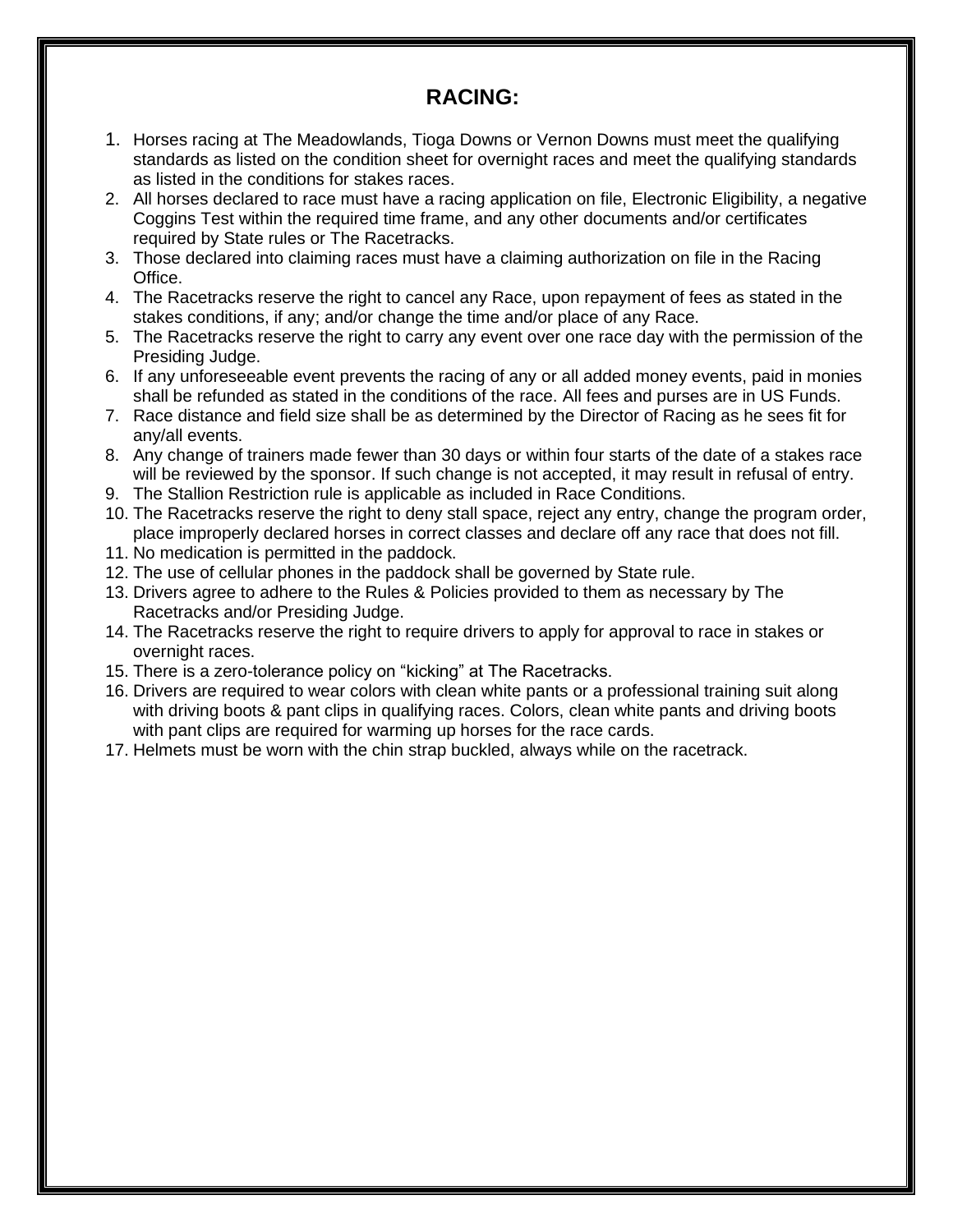### **RACING:**

- 1. Horses racing at The Meadowlands, Tioga Downs or Vernon Downs must meet the qualifying standards as listed on the condition sheet for overnight races and meet the qualifying standards as listed in the conditions for stakes races.
- 2. All horses declared to race must have a racing application on file, Electronic Eligibility, a negative Coggins Test within the required time frame, and any other documents and/or certificates required by State rules or The Racetracks.
- 3. Those declared into claiming races must have a claiming authorization on file in the Racing Office.
- 4. The Racetracks reserve the right to cancel any Race, upon repayment of fees as stated in the stakes conditions, if any; and/or change the time and/or place of any Race.
- 5. The Racetracks reserve the right to carry any event over one race day with the permission of the Presiding Judge.
- 6. If any unforeseeable event prevents the racing of any or all added money events, paid in monies shall be refunded as stated in the conditions of the race. All fees and purses are in US Funds.
- 7. Race distance and field size shall be as determined by the Director of Racing as he sees fit for any/all events.
- 8. Any change of trainers made fewer than 30 days or within four starts of the date of a stakes race will be reviewed by the sponsor. If such change is not accepted, it may result in refusal of entry.
- 9. The Stallion Restriction rule is applicable as included in Race Conditions.
- 10. The Racetracks reserve the right to deny stall space, reject any entry, change the program order, place improperly declared horses in correct classes and declare off any race that does not fill.
- 11. No medication is permitted in the paddock.
- 12. The use of cellular phones in the paddock shall be governed by State rule.
- 13. Drivers agree to adhere to the Rules & Policies provided to them as necessary by The Racetracks and/or Presiding Judge.
- 14. The Racetracks reserve the right to require drivers to apply for approval to race in stakes or overnight races.
- 15. There is a zero-tolerance policy on "kicking" at The Racetracks.
- 16. Drivers are required to wear colors with clean white pants or a professional training suit along with driving boots & pant clips in qualifying races. Colors, clean white pants and driving boots with pant clips are required for warming up horses for the race cards.
- 17. Helmets must be worn with the chin strap buckled, always while on the racetrack.